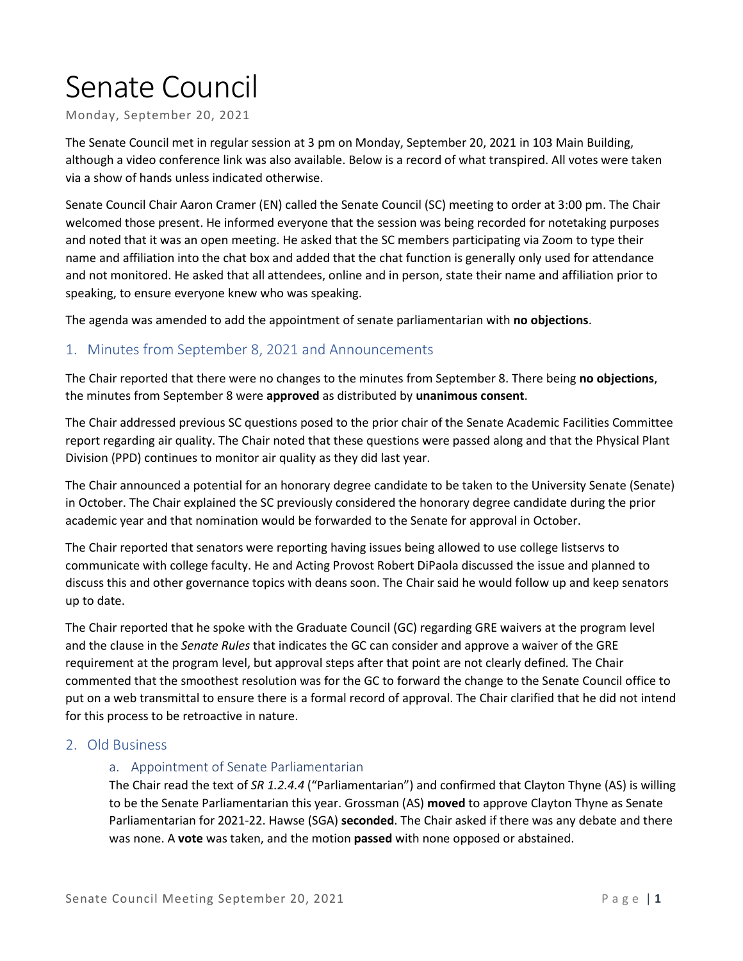# Senate Council

Monday, September 20, 2021

The Senate Council met in regular session at 3 pm on Monday, September 20, 2021 in 103 Main Building, although a video conference link was also available. Below is a record of what transpired. All votes were taken via a show of hands unless indicated otherwise.

Senate Council Chair Aaron Cramer (EN) called the Senate Council (SC) meeting to order at 3:00 pm. The Chair welcomed those present. He informed everyone that the session was being recorded for notetaking purposes and noted that it was an open meeting. He asked that the SC members participating via Zoom to type their name and affiliation into the chat box and added that the chat function is generally only used for attendance and not monitored. He asked that all attendees, online and in person, state their name and affiliation prior to speaking, to ensure everyone knew who was speaking.

The agenda was amended to add the appointment of senate parliamentarian with **no objections**.

### 1. Minutes from September 8, 2021 and Announcements

The Chair reported that there were no changes to the minutes from September 8. There being **no objections**, the minutes from September 8 were **approved** as distributed by **unanimous consent**.

The Chair addressed previous SC questions posed to the prior chair of the Senate Academic Facilities Committee report regarding air quality. The Chair noted that these questions were passed along and that the Physical Plant Division (PPD) continues to monitor air quality as they did last year.

The Chair announced a potential for an honorary degree candidate to be taken to the University Senate (Senate) in October. The Chair explained the SC previously considered the honorary degree candidate during the prior academic year and that nomination would be forwarded to the Senate for approval in October.

The Chair reported that senators were reporting having issues being allowed to use college listservs to communicate with college faculty. He and Acting Provost Robert DiPaola discussed the issue and planned to discuss this and other governance topics with deans soon. The Chair said he would follow up and keep senators up to date.

The Chair reported that he spoke with the Graduate Council (GC) regarding GRE waivers at the program level and the clause in the *Senate Rules* that indicates the GC can consider and approve a waiver of the GRE requirement at the program level, but approval steps after that point are not clearly defined*.* The Chair commented that the smoothest resolution was for the GC to forward the change to the Senate Council office to put on a web transmittal to ensure there is a formal record of approval. The Chair clarified that he did not intend for this process to be retroactive in nature.

#### 2. Old Business

#### a. Appointment of Senate Parliamentarian

The Chair read the text of *SR 1.2.4.4* ("Parliamentarian") and confirmed that Clayton Thyne (AS) is willing to be the Senate Parliamentarian this year. Grossman (AS) **moved** to approve Clayton Thyne as Senate Parliamentarian for 2021-22. Hawse (SGA) **seconded**. The Chair asked if there was any debate and there was none. A **vote** was taken, and the motion **passed** with none opposed or abstained.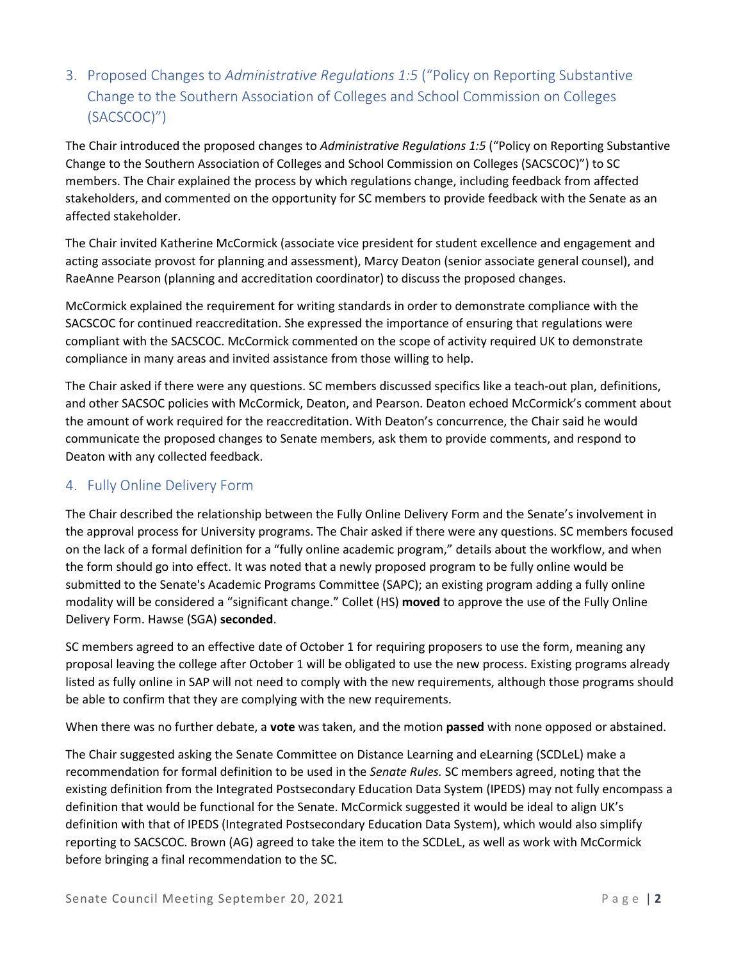# 3. Proposed Changes to *Administrative Regulations 1:5* ("Policy on Reporting Substantive Change to the Southern Association of Colleges and School Commission on Colleges (SACSCOC)")

The Chair introduced the proposed changes to *Administrative Regulations 1:5* ("Policy on Reporting Substantive Change to the Southern Association of Colleges and School Commission on Colleges (SACSCOC)") to SC members. The Chair explained the process by which regulations change, including feedback from affected stakeholders, and commented on the opportunity for SC members to provide feedback with the Senate as an affected stakeholder.

The Chair invited Katherine McCormick (associate vice president for student excellence and engagement and acting associate provost for planning and assessment), Marcy Deaton (senior associate general counsel), and RaeAnne Pearson (planning and accreditation coordinator) to discuss the proposed changes.

McCormick explained the requirement for writing standards in order to demonstrate compliance with the SACSCOC for continued reaccreditation. She expressed the importance of ensuring that regulations were compliant with the SACSCOC. McCormick commented on the scope of activity required UK to demonstrate compliance in many areas and invited assistance from those willing to help.

The Chair asked if there were any questions. SC members discussed specifics like a teach-out plan, definitions, and other SACSOC policies with McCormick, Deaton, and Pearson. Deaton echoed McCormick's comment about the amount of work required for the reaccreditation. With Deaton's concurrence, the Chair said he would communicate the proposed changes to Senate members, ask them to provide comments, and respond to Deaton with any collected feedback.

## 4. Fully Online Delivery Form

The Chair described the relationship between the Fully Online Delivery Form and the Senate's involvement in the approval process for University programs. The Chair asked if there were any questions. SC members focused on the lack of a formal definition for a "fully online academic program," details about the workflow, and when the form should go into effect. It was noted that a newly proposed program to be fully online would be submitted to the Senate's Academic Programs Committee (SAPC); an existing program adding a fully online modality will be considered a "significant change." Collet (HS) **moved** to approve the use of the Fully Online Delivery Form. Hawse (SGA) **seconded**.

SC members agreed to an effective date of October 1 for requiring proposers to use the form, meaning any proposal leaving the college after October 1 will be obligated to use the new process. Existing programs already listed as fully online in SAP will not need to comply with the new requirements, although those programs should be able to confirm that they are complying with the new requirements.

When there was no further debate, a **vote** was taken, and the motion **passed** with none opposed or abstained.

The Chair suggested asking the Senate Committee on Distance Learning and eLearning (SCDLeL) make a recommendation for formal definition to be used in the *Senate Rules.* SC members agreed, noting that the existing definition from the Integrated Postsecondary Education Data System (IPEDS) may not fully encompass a definition that would be functional for the Senate. McCormick suggested it would be ideal to align UK's definition with that of IPEDS (Integrated Postsecondary Education Data System), which would also simplify reporting to SACSCOC. Brown (AG) agreed to take the item to the SCDLeL, as well as work with McCormick before bringing a final recommendation to the SC.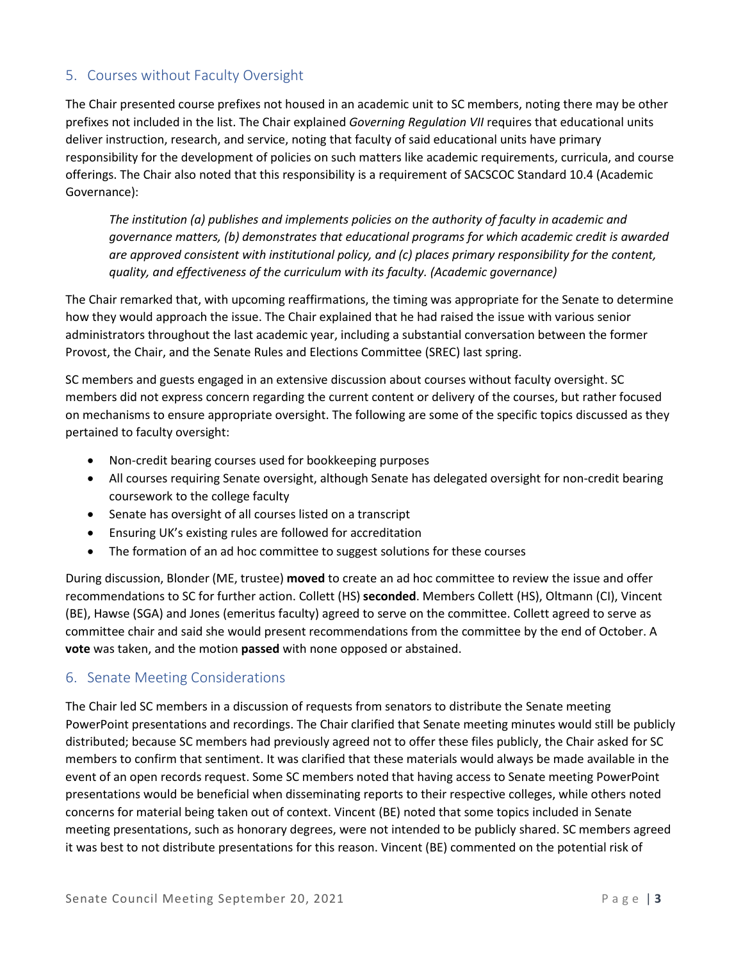## 5. Courses without Faculty Oversight

The Chair presented course prefixes not housed in an academic unit to SC members, noting there may be other prefixes not included in the list. The Chair explained *Governing Regulation VII* requires that educational units deliver instruction, research, and service, noting that faculty of said educational units have primary responsibility for the development of policies on such matters like academic requirements, curricula, and course offerings. The Chair also noted that this responsibility is a requirement of SACSCOC Standard 10.4 (Academic Governance):

*The institution (a) publishes and implements policies on the authority of faculty in academic and governance matters, (b) demonstrates that educational programs for which academic credit is awarded are approved consistent with institutional policy, and (c) places primary responsibility for the content, quality, and effectiveness of the curriculum with its faculty. (Academic governance)*

The Chair remarked that, with upcoming reaffirmations, the timing was appropriate for the Senate to determine how they would approach the issue. The Chair explained that he had raised the issue with various senior administrators throughout the last academic year, including a substantial conversation between the former Provost, the Chair, and the Senate Rules and Elections Committee (SREC) last spring.

SC members and guests engaged in an extensive discussion about courses without faculty oversight. SC members did not express concern regarding the current content or delivery of the courses, but rather focused on mechanisms to ensure appropriate oversight. The following are some of the specific topics discussed as they pertained to faculty oversight:

- Non-credit bearing courses used for bookkeeping purposes
- All courses requiring Senate oversight, although Senate has delegated oversight for non-credit bearing coursework to the college faculty
- Senate has oversight of all courses listed on a transcript
- Ensuring UK's existing rules are followed for accreditation
- The formation of an ad hoc committee to suggest solutions for these courses

During discussion, Blonder (ME, trustee) **moved** to create an ad hoc committee to review the issue and offer recommendations to SC for further action. Collett (HS) **seconded**. Members Collett (HS), Oltmann (CI), Vincent (BE), Hawse (SGA) and Jones (emeritus faculty) agreed to serve on the committee. Collett agreed to serve as committee chair and said she would present recommendations from the committee by the end of October. A **vote** was taken, and the motion **passed** with none opposed or abstained.

#### 6. Senate Meeting Considerations

The Chair led SC members in a discussion of requests from senators to distribute the Senate meeting PowerPoint presentations and recordings. The Chair clarified that Senate meeting minutes would still be publicly distributed; because SC members had previously agreed not to offer these files publicly, the Chair asked for SC members to confirm that sentiment. It was clarified that these materials would always be made available in the event of an open records request. Some SC members noted that having access to Senate meeting PowerPoint presentations would be beneficial when disseminating reports to their respective colleges, while others noted concerns for material being taken out of context. Vincent (BE) noted that some topics included in Senate meeting presentations, such as honorary degrees, were not intended to be publicly shared. SC members agreed it was best to not distribute presentations for this reason. Vincent (BE) commented on the potential risk of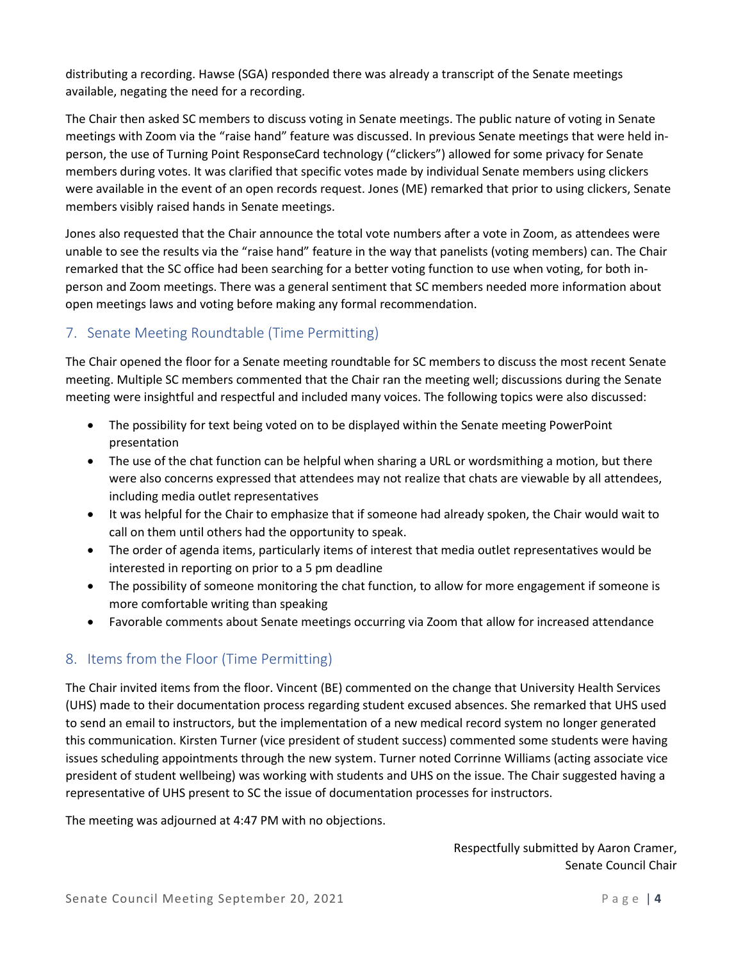distributing a recording. Hawse (SGA) responded there was already a transcript of the Senate meetings available, negating the need for a recording.

The Chair then asked SC members to discuss voting in Senate meetings. The public nature of voting in Senate meetings with Zoom via the "raise hand" feature was discussed. In previous Senate meetings that were held inperson, the use of Turning Point ResponseCard technology ("clickers") allowed for some privacy for Senate members during votes. It was clarified that specific votes made by individual Senate members using clickers were available in the event of an open records request. Jones (ME) remarked that prior to using clickers, Senate members visibly raised hands in Senate meetings.

Jones also requested that the Chair announce the total vote numbers after a vote in Zoom, as attendees were unable to see the results via the "raise hand" feature in the way that panelists (voting members) can. The Chair remarked that the SC office had been searching for a better voting function to use when voting, for both inperson and Zoom meetings. There was a general sentiment that SC members needed more information about open meetings laws and voting before making any formal recommendation.

# 7. Senate Meeting Roundtable (Time Permitting)

The Chair opened the floor for a Senate meeting roundtable for SC members to discuss the most recent Senate meeting. Multiple SC members commented that the Chair ran the meeting well; discussions during the Senate meeting were insightful and respectful and included many voices. The following topics were also discussed:

- The possibility for text being voted on to be displayed within the Senate meeting PowerPoint presentation
- The use of the chat function can be helpful when sharing a URL or wordsmithing a motion, but there were also concerns expressed that attendees may not realize that chats are viewable by all attendees, including media outlet representatives
- It was helpful for the Chair to emphasize that if someone had already spoken, the Chair would wait to call on them until others had the opportunity to speak.
- The order of agenda items, particularly items of interest that media outlet representatives would be interested in reporting on prior to a 5 pm deadline
- The possibility of someone monitoring the chat function, to allow for more engagement if someone is more comfortable writing than speaking
- Favorable comments about Senate meetings occurring via Zoom that allow for increased attendance

## 8. Items from the Floor (Time Permitting)

The Chair invited items from the floor. Vincent (BE) commented on the change that University Health Services (UHS) made to their documentation process regarding student excused absences. She remarked that UHS used to send an email to instructors, but the implementation of a new medical record system no longer generated this communication. Kirsten Turner (vice president of student success) commented some students were having issues scheduling appointments through the new system. Turner noted Corrinne Williams (acting associate vice president of student wellbeing) was working with students and UHS on the issue. The Chair suggested having a representative of UHS present to SC the issue of documentation processes for instructors.

The meeting was adjourned at 4:47 PM with no objections.

Respectfully submitted by Aaron Cramer, Senate Council Chair